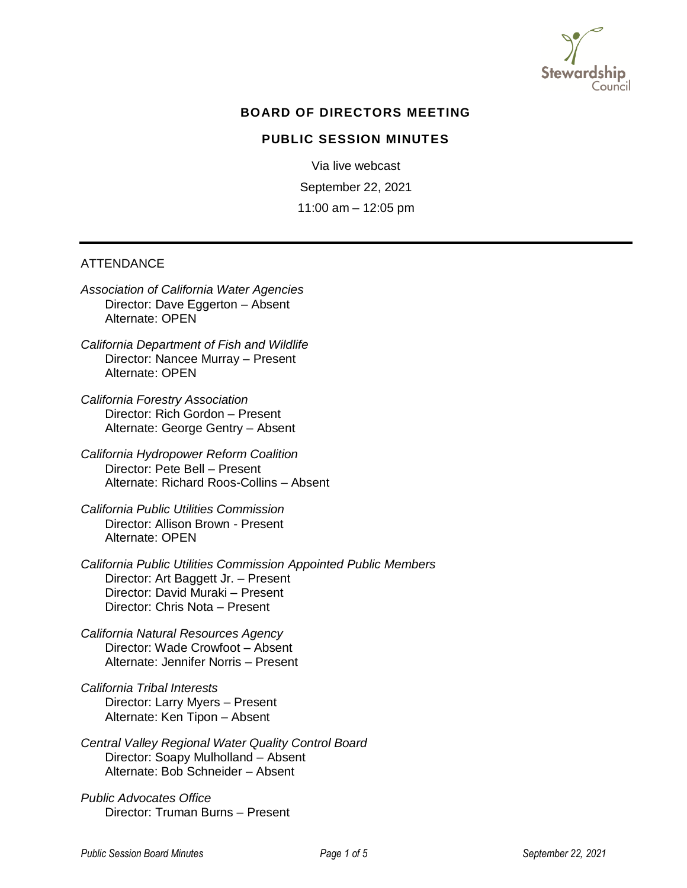

## **BOARD OF DIRECTORS MEETING**

### **PUBLIC SESSION MINUTES**

Via live webcast September 22, 2021 11:00 am – 12:05 pm

#### ATTENDANCE

*Association of California Water Agencies* Director: Dave Eggerton – Absent Alternate: OPEN

*California Department of Fish and Wildlife* Director: Nancee Murray – Present Alternate: OPEN

*California Forestry Association* Director: Rich Gordon – Present Alternate: George Gentry – Absent

*California Hydropower Reform Coalition* Director: Pete Bell – Present Alternate: Richard Roos-Collins – Absent

*California Public Utilities Commission* Director: Allison Brown - Present Alternate: OPEN

*California Public Utilities Commission Appointed Public Members*  Director: Art Baggett Jr. – Present Director: David Muraki – Present Director: Chris Nota – Present

*California Natural Resources Agency* Director: Wade Crowfoot – Absent Alternate: Jennifer Norris – Present

*California Tribal Interests* Director: Larry Myers – Present Alternate: Ken Tipon – Absent

*Central Valley Regional Water Quality Control Board* Director: Soapy Mulholland – Absent Alternate: Bob Schneider – Absent

*Public Advocates Office* Director: Truman Burns – Present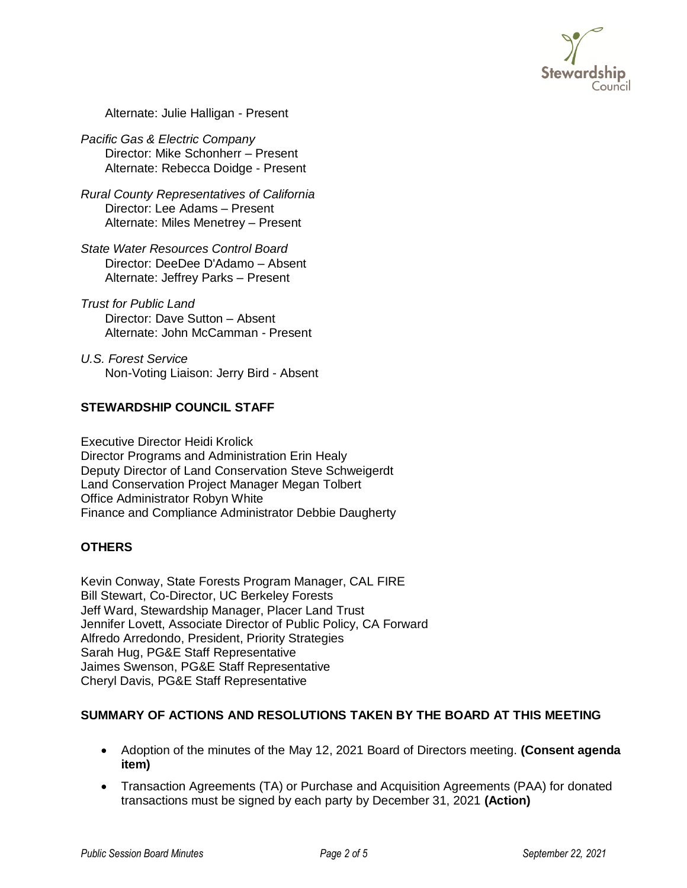

Alternate: Julie Halligan - Present

*Pacific Gas & [Electric Company](http://stewardshipcouncil.org/about_us/board_roster.htm)* Director: Mike Schonherr – Present Alternate: Rebecca Doidge - Present

*Rural County Representatives of California* Director: Lee Adams – Present Alternate: Miles Menetrey – Present

*State Water Resources Control Board* Director: DeeDee D'Adamo – Absent Alternate: Jeffrey Parks – Present

*Trust for Public Land* Director: Dave Sutton – Absent Alternate: John McCamman - Present

*U.S. Forest Service* Non-Voting Liaison: Jerry Bird - Absent

# **STEWARDSHIP COUNCIL STAFF**

Executive Director Heidi Krolick Director Programs and Administration Erin Healy Deputy Director of Land Conservation Steve Schweigerdt Land Conservation Project Manager Megan Tolbert Office Administrator Robyn White Finance and Compliance Administrator Debbie Daugherty

### **OTHERS**

Kevin Conway, State Forests Program Manager, CAL FIRE Bill Stewart, Co-Director, UC Berkeley Forests Jeff Ward, Stewardship Manager, Placer Land Trust Jennifer Lovett, Associate Director of Public Policy, CA Forward Alfredo Arredondo, President, Priority Strategies Sarah Hug, PG&E Staff Representative Jaimes Swenson, PG&E Staff Representative Cheryl Davis, PG&E Staff Representative

# **SUMMARY OF ACTIONS AND RESOLUTIONS TAKEN BY THE BOARD AT THIS MEETING**

- Adoption of the minutes of the May 12, 2021 Board of Directors meeting. **(Consent agenda item)**
- Transaction Agreements (TA) or Purchase and Acquisition Agreements (PAA) for donated transactions must be signed by each party by December 31, 2021 **(Action)**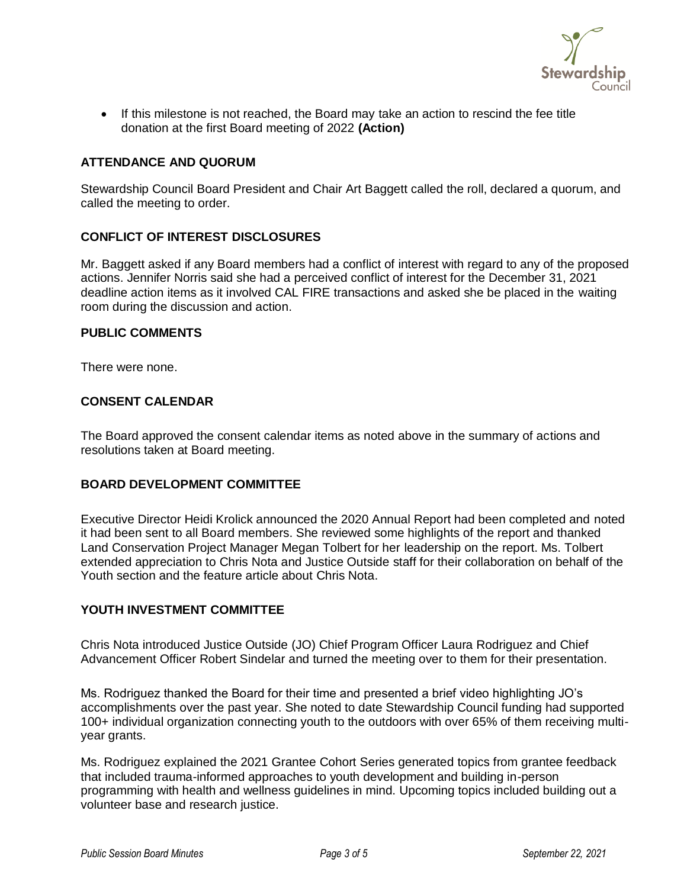

• If this milestone is not reached, the Board may take an action to rescind the fee title donation at the first Board meeting of 2022 **(Action)**

### **ATTENDANCE AND QUORUM**

Stewardship Council Board President and Chair Art Baggett called the roll, declared a quorum, and called the meeting to order.

### **CONFLICT OF INTEREST DISCLOSURES**

Mr. Baggett asked if any Board members had a conflict of interest with regard to any of the proposed actions. Jennifer Norris said she had a perceived conflict of interest for the December 31, 2021 deadline action items as it involved CAL FIRE transactions and asked she be placed in the waiting room during the discussion and action.

### **PUBLIC COMMENTS**

There were none.

### **CONSENT CALENDAR**

The Board approved the consent calendar items as noted above in the summary of actions and resolutions taken at Board meeting.

### **BOARD DEVELOPMENT COMMITTEE**

Executive Director Heidi Krolick announced the 2020 Annual Report had been completed and noted it had been sent to all Board members. She reviewed some highlights of the report and thanked Land Conservation Project Manager Megan Tolbert for her leadership on the report. Ms. Tolbert extended appreciation to Chris Nota and Justice Outside staff for their collaboration on behalf of the Youth section and the feature article about Chris Nota.

### **YOUTH INVESTMENT COMMITTEE**

Chris Nota introduced Justice Outside (JO) Chief Program Officer Laura Rodriguez and Chief Advancement Officer Robert Sindelar and turned the meeting over to them for their presentation.

Ms. Rodriguez thanked the Board for their time and presented a brief video highlighting JO's accomplishments over the past year. She noted to date Stewardship Council funding had supported 100+ individual organization connecting youth to the outdoors with over 65% of them receiving multiyear grants.

Ms. Rodriguez explained the 2021 Grantee Cohort Series generated topics from grantee feedback that included trauma-informed approaches to youth development and building in-person programming with health and wellness guidelines in mind. Upcoming topics included building out a volunteer base and research justice.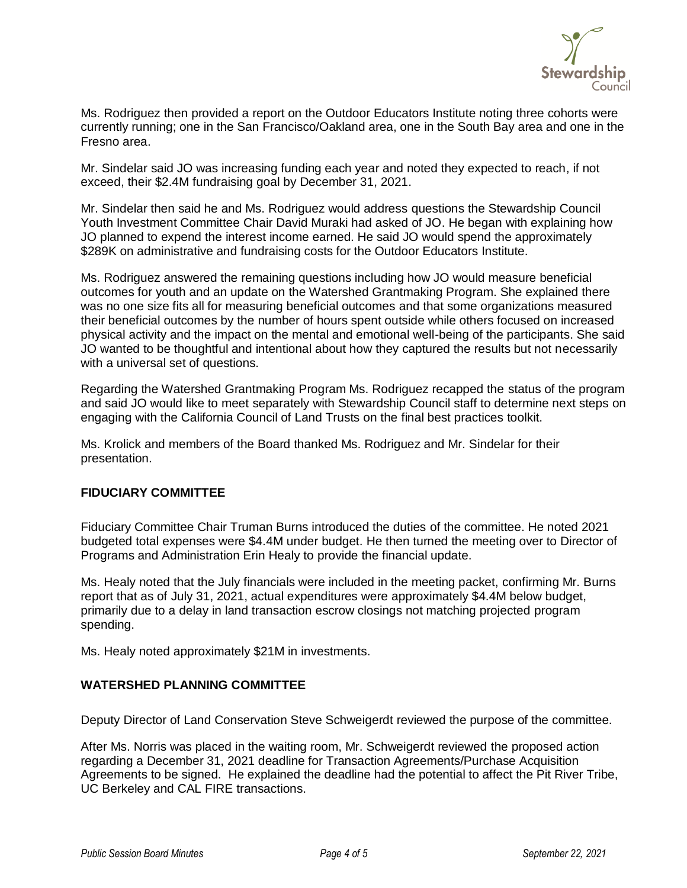

Ms. Rodriguez then provided a report on the Outdoor Educators Institute noting three cohorts were currently running; one in the San Francisco/Oakland area, one in the South Bay area and one in the Fresno area.

Mr. Sindelar said JO was increasing funding each year and noted they expected to reach, if not exceed, their \$2.4M fundraising goal by December 31, 2021.

Mr. Sindelar then said he and Ms. Rodriguez would address questions the Stewardship Council Youth Investment Committee Chair David Muraki had asked of JO. He began with explaining how JO planned to expend the interest income earned. He said JO would spend the approximately \$289K on administrative and fundraising costs for the Outdoor Educators Institute.

Ms. Rodriguez answered the remaining questions including how JO would measure beneficial outcomes for youth and an update on the Watershed Grantmaking Program. She explained there was no one size fits all for measuring beneficial outcomes and that some organizations measured their beneficial outcomes by the number of hours spent outside while others focused on increased physical activity and the impact on the mental and emotional well-being of the participants. She said JO wanted to be thoughtful and intentional about how they captured the results but not necessarily with a universal set of questions.

Regarding the Watershed Grantmaking Program Ms. Rodriguez recapped the status of the program and said JO would like to meet separately with Stewardship Council staff to determine next steps on engaging with the California Council of Land Trusts on the final best practices toolkit.

Ms. Krolick and members of the Board thanked Ms. Rodriguez and Mr. Sindelar for their presentation.

## **FIDUCIARY COMMITTEE**

Fiduciary Committee Chair Truman Burns introduced the duties of the committee. He noted 2021 budgeted total expenses were \$4.4M under budget. He then turned the meeting over to Director of Programs and Administration Erin Healy to provide the financial update.

Ms. Healy noted that the July financials were included in the meeting packet, confirming Mr. Burns report that as of July 31, 2021, actual expenditures were approximately \$4.4M below budget, primarily due to a delay in land transaction escrow closings not matching projected program spending.

Ms. Healy noted approximately \$21M in investments.

# **WATERSHED PLANNING COMMITTEE**

Deputy Director of Land Conservation Steve Schweigerdt reviewed the purpose of the committee.

After Ms. Norris was placed in the waiting room, Mr. Schweigerdt reviewed the proposed action regarding a December 31, 2021 deadline for Transaction Agreements/Purchase Acquisition Agreements to be signed. He explained the deadline had the potential to affect the Pit River Tribe, UC Berkeley and CAL FIRE transactions.